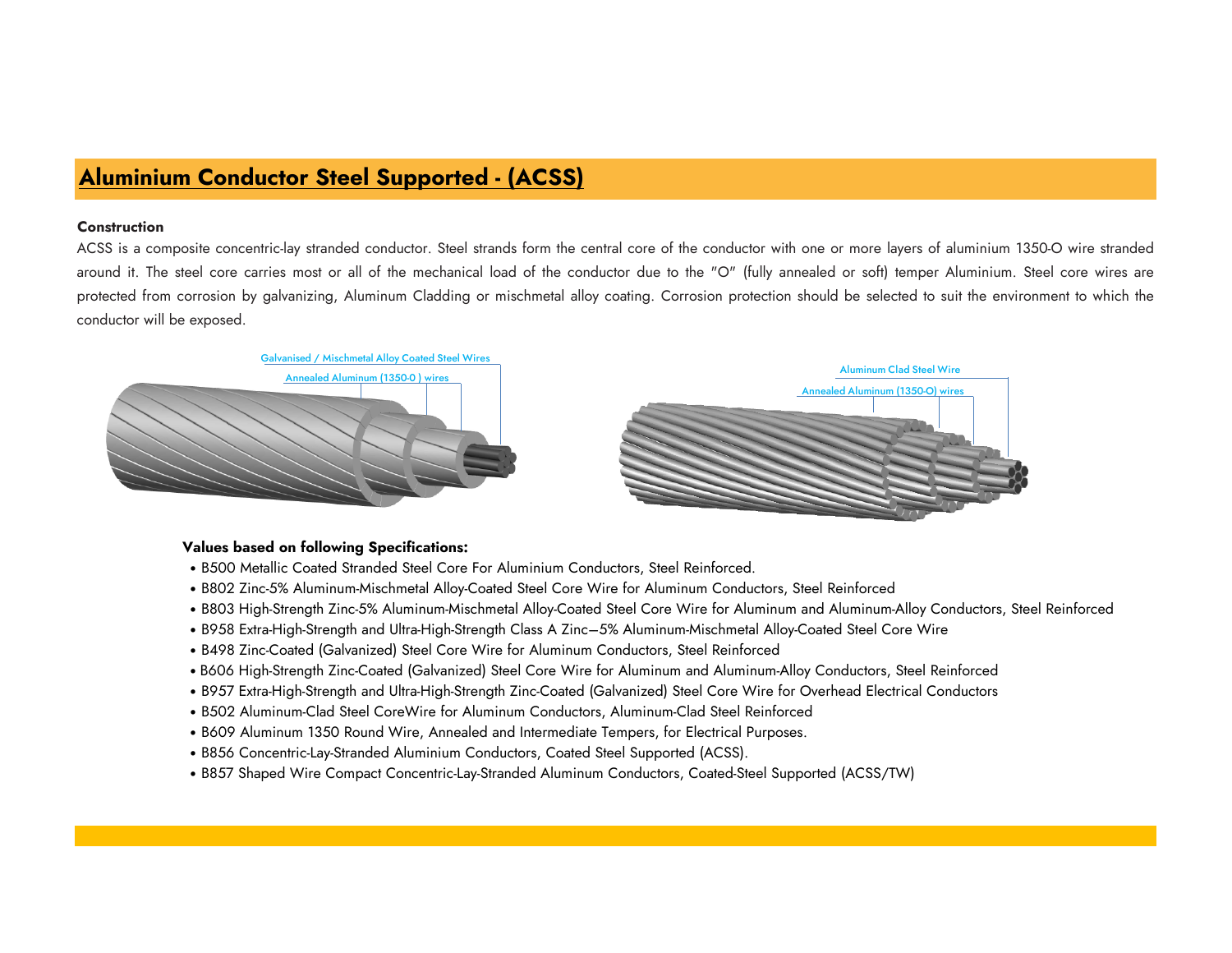

### **Construction**

ACSS is a composite concentric-lay stranded conductor. Steel strands form the central core of the conductor with one or more layers of aluminium 1350-O wire stranded around it. The steel core carries most or all of the mechanical load of the conductor due to the "O" (fully annealed or soft) temper Aluminium. Steel core wires are protected from corrosion by galvanizing, Aluminum Cladding or mischmetal alloy coating. Corrosion protection should be selected to suit the environment to which the conductor will be exposed.



Annealed Aluminum (1350-O) wires Aluminum Clad Steel Wire

### **Values based on following Specifications:**

- B500 Metallic Coated Stranded Steel Core For Aluminium Conductors, Steel Reinforced.
- B802 Zinc-5% Aluminum-Mischmetal Alloy-Coated Steel Core Wire for Aluminum Conductors, Steel Reinforced
- B803 High-Strength Zinc-5% Aluminum-Mischmetal Alloy-Coated Steel Core Wire for Aluminum and Aluminum-Alloy Conductors, Steel Reinforced
- B958 Extra-High-Strength and Ultra-High-Strength Class A Zinc–5% Aluminum-Mischmetal Alloy-Coated Steel Core Wire
- B498 Zinc-Coated (Galvanized) Steel Core Wire for Aluminum Conductors, Steel Reinforced
- B606 High-Strength Zinc-Coated (Galvanized) Steel Core Wire for Aluminum and Aluminum-Alloy Conductors, Steel Reinforced
- B957 Extra-High-Strength and Ultra-High-Strength Zinc-Coated (Galvanized) Steel Core Wire for Overhead Electrical Conductors
- B502 Aluminum-Clad Steel CoreWire for Aluminum Conductors, Aluminum-Clad Steel Reinforced
- B609 Aluminum 1350 Round Wire, Annealed and Intermediate Tempers, for Electrical Purposes.
- B856 Concentric-Lay-Stranded Aluminium Conductors, Coated Steel Supported (ACSS).
- B857 Shaped Wire Compact Concentric-Lay-Stranded Aluminum Conductors, Coated-Steel Supported (ACSS/TW)

# **Available with Non-Specular (Dull) Surface Finish and Color Coated as per customized requirements.**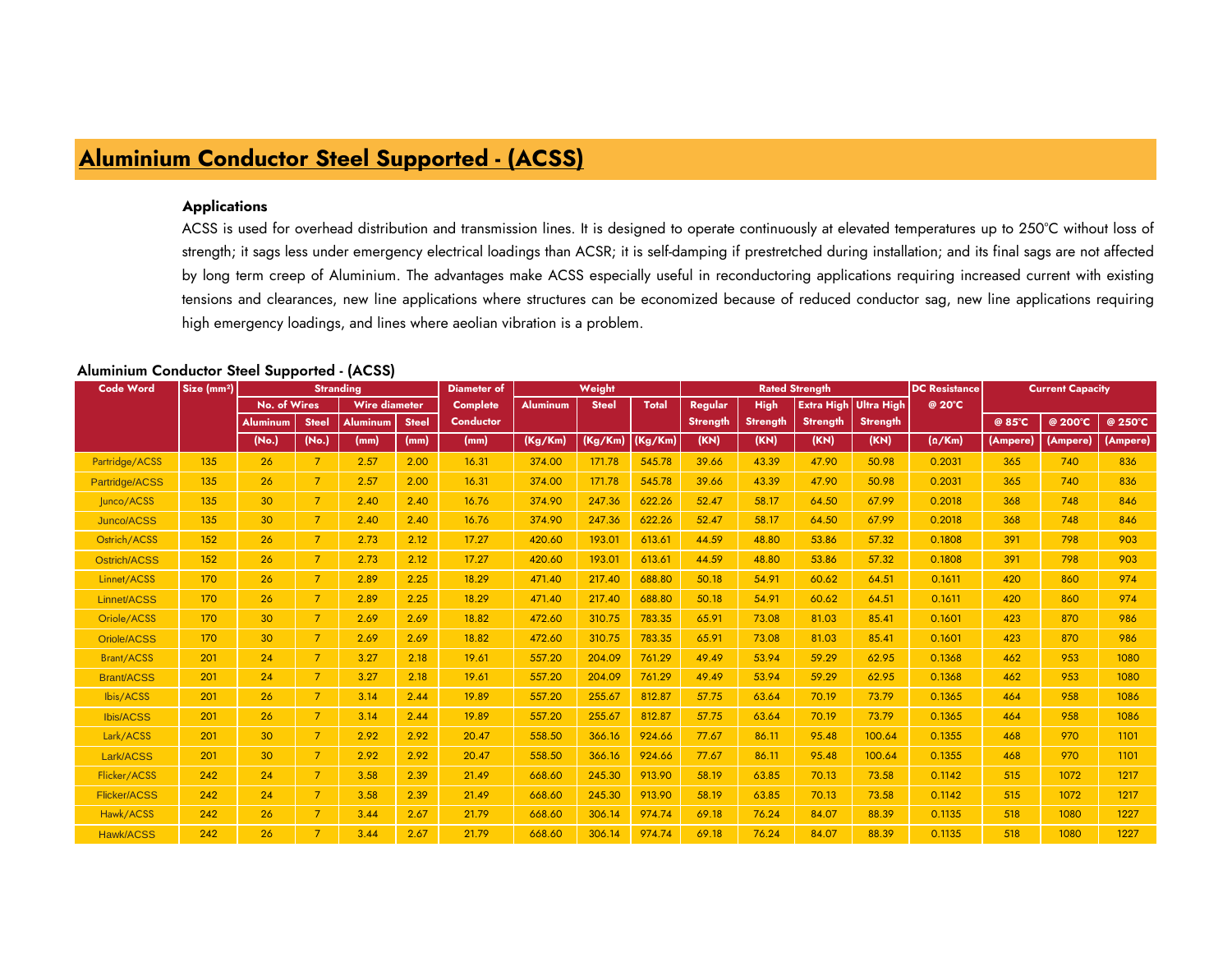

## **Applications**

ACSS is used for overhead distribution and transmission lines. It is designed to operate continuously at elevated temperatures up to 250°C without loss of strength; it sags less under emergency electrical loadings than ACSR; it is self-damping if prestretched during installation; and its final sags are not affected by long term creep of Aluminium. The advantages make ACSS especially useful in reconductoring applications requiring increased current with existing tensions and clearances, new line applications where structures can be economized because of reduced conductor sag, new line applications requiring high emergency loadings, and lines where aeolian vibration is a problem.

### **Aluminium Conductor Steel Supported - (ACSS)**

| <b>Code Word</b>  | Size (mm <sup>2</sup> ) |                     | <b>Stranding</b> |                      |              | <b>Diameter of</b> |                 | Weight       |              |                 |                 | <b>Rated Strength</b> |                 | <b>DC</b> Resistance |          | <b>Current Capacity</b> |          |  |
|-------------------|-------------------------|---------------------|------------------|----------------------|--------------|--------------------|-----------------|--------------|--------------|-----------------|-----------------|-----------------------|-----------------|----------------------|----------|-------------------------|----------|--|
|                   |                         | <b>No. of Wires</b> |                  | <b>Wire diameter</b> |              | <b>Complete</b>    | <b>Aluminum</b> | <b>Steel</b> | <b>Total</b> | <b>Regular</b>  | <b>High</b>     | Extra High Ultra High |                 | @ 20°C               |          |                         |          |  |
|                   |                         | Aluminum            | <b>Steel</b>     | Aluminum             | <b>Steel</b> | <b>Conductor</b>   |                 |              |              | <b>Strength</b> | <b>Strength</b> | <b>Strength</b>       | <b>Strength</b> |                      | @ 85°C   | @ 200°C                 | @ 250°C  |  |
|                   |                         | (No.)               | (No.)            | (mm)                 | (mm)         | (mm)               | (Kg/Km)         | (Kg/Km)      | (Kg/Km)      | (KN)            | (KN)            | (KN)                  | (KN)            | $(\Omega/Km)$        | (Ampere) | (Ampere)                | (Ampere) |  |
| Partridge/ACSS    | 135                     | 26                  | $\overline{7}$   | 2.57                 | 2.00         | 16.31              | 374.00          | 171.78       | 545.78       | 39.66           | 43.39           | 47.90                 | 50.98           | 0.2031               | 365      | 740                     | 836      |  |
| Partridge/ACSS    | 135                     | 26                  | $\overline{7}$   | 2.57                 | 2.00         | 16.31              | 374.00          | 171.78       | 545.78       | 39.66           | 43.39           | 47.90                 | 50.98           | 0.2031               | 365      | 740                     | 836      |  |
| Junco/ACSS        | 135                     | 30                  | $\overline{7}$   | 2.40                 | 2.40         | 16.76              | 374.90          | 247.36       | 622.26       | 52.47           | 58.17           | 64.50                 | 67.99           | 0.2018               | 368      | 748                     | 846      |  |
| Junco/ACSS        | 135                     | 30                  | $\overline{7}$   | 2.40                 | 2.40         | 16.76              | 374.90          | 247.36       | 622.26       | 52.47           | 58.17           | 64.50                 | 67.99           | 0.2018               | 368      | 748                     | 846      |  |
| Ostrich/ACSS      | 152                     | 26                  | $\overline{7}$   | 2.73                 | 2.12         | 17.27              | 420.60          | 193.01       | 613.61       | 44.59           | 48.80           | 53.86                 | 57.32           | 0.1808               | 391      | 798                     | 903      |  |
| Ostrich/ACSS      | 152                     | 26                  | $\overline{7}$   | 2.73                 | 2.12         | 17.27              | 420.60          | 193.01       | 613.61       | 44.59           | 48.80           | 53.86                 | 57.32           | 0.1808               | 391      | 798                     | 903      |  |
| Linnet/ACSS       | 170                     | 26                  | $\overline{7}$   | 2.89                 | 2.25         | 18.29              | 471.40          | 217.40       | 688.80       | 50.18           | 54.91           | 60.62                 | 64.51           | 0.1611               | 420      | 860                     | 974      |  |
| Linnet/ACSS       | 170                     | 26                  | $\overline{7}$   | 2.89                 | 2.25         | 18.29              | 471.40          | 217.40       | 688.80       | 50.18           | 54.91           | 60.62                 | 64.51           | 0.1611               | 420      | 860                     | 974      |  |
| Oriole/ACSS       | 170                     | 30                  | $\overline{7}$   | 2.69                 | 2.69         | 18.82              | 472.60          | 310.75       | 783.35       | 65.91           | 73.08           | 81.03                 | 85.41           | 0.1601               | 423      | 870                     | 986      |  |
| Oriole/ACSS       | 170                     | 30                  | $\overline{7}$   | 2.69                 | 2.69         | 18.82              | 472.60          | 310.75       | 783.35       | 65.91           | 73.08           | 81.03                 | 85.41           | 0.1601               | 423      | 870                     | 986      |  |
| <b>Brant/ACSS</b> | 201                     | 24                  | $\overline{7}$   | 3.27                 | 2.18         | 19.61              | 557.20          | 204.09       | 761.29       | 49.49           | 53.94           | 59.29                 | 62.95           | 0.1368               | 462      | 953                     | 1080     |  |
| <b>Brant/ACSS</b> | 201                     | 24                  | $\overline{7}$   | 3.27                 | 2.18         | 19.61              | 557.20          | 204.09       | 761.29       | 49.49           | 53.94           | 59.29                 | 62.95           | 0.1368               | 462      | 953                     | 1080     |  |
| Ibis/ACSS         | 201                     | 26                  | $\overline{7}$   | 3.14                 | 2.44         | 19.89              | 557.20          | 255.67       | 812.87       | 57.75           | 63.64           | 70.19                 | 73.79           | 0.1365               | 464      | 958                     | 1086     |  |
| <b>Ibis/ACSS</b>  | 201                     | 26                  | $\overline{7}$   | 3.14                 | 2.44         | 19.89              | 557.20          | 255.67       | 812.87       | 57.75           | 63.64           | 70.19                 | 73.79           | 0.1365               | 464      | 958                     | 1086     |  |
| Lark/ACSS         | 201                     | 30                  | $\overline{7}$   | 2.92                 | 2.92         | 20.47              | 558.50          | 366.16       | 924.66       | 77.67           | 86.11           | 95.48                 | 100.64          | 0.1355               | 468      | 970                     | 1101     |  |
| Lark/ACSS         | 201                     | 30                  | $\overline{7}$   | 2.92                 | 2.92         | 20.47              | 558.50          | 366.16       | 924.66       | 77.67           | 86.11           | 95.48                 | 100.64          | 0.1355               | 468      | 970                     | 1101     |  |
| Flicker/ACSS      | 242                     | 24                  | $\overline{7}$   | 3.58                 | 2.39         | 21.49              | 668.60          | 245.30       | 913.90       | 58.19           | 63.85           | 70.13                 | 73.58           | 0.1142               | 515      | 1072                    | 1217     |  |
| Flicker/ACSS      | 242                     | 24                  | $\overline{7}$   | 3.58                 | 2.39         | 21.49              | 668.60          | 245.30       | 913.90       | 58.19           | 63.85           | 70.13                 | 73.58           | 0.1142               | 515      | 1072                    | 1217     |  |
| Hawk/ACSS         | 242                     | 26                  | 7 <sup>1</sup>   | 3.44                 | 2.67         | 21.79              | 668.60          | 306.14       | 974.74       | 69.18           | 76.24           | 84.07                 | 88.39           | 0.1135               | 518      | 1080                    | 1227     |  |
| Hawk/ACSS         | 242                     | 26                  | $\overline{7}$   | 3.44                 | 2.67         | 21.79              | 668.60          | 306.14       | 974.74       | 69.18           | 76.24           | 84.07                 | 88.39           | 0.1135               | 518      | 1080                    | 1227     |  |

NOTE :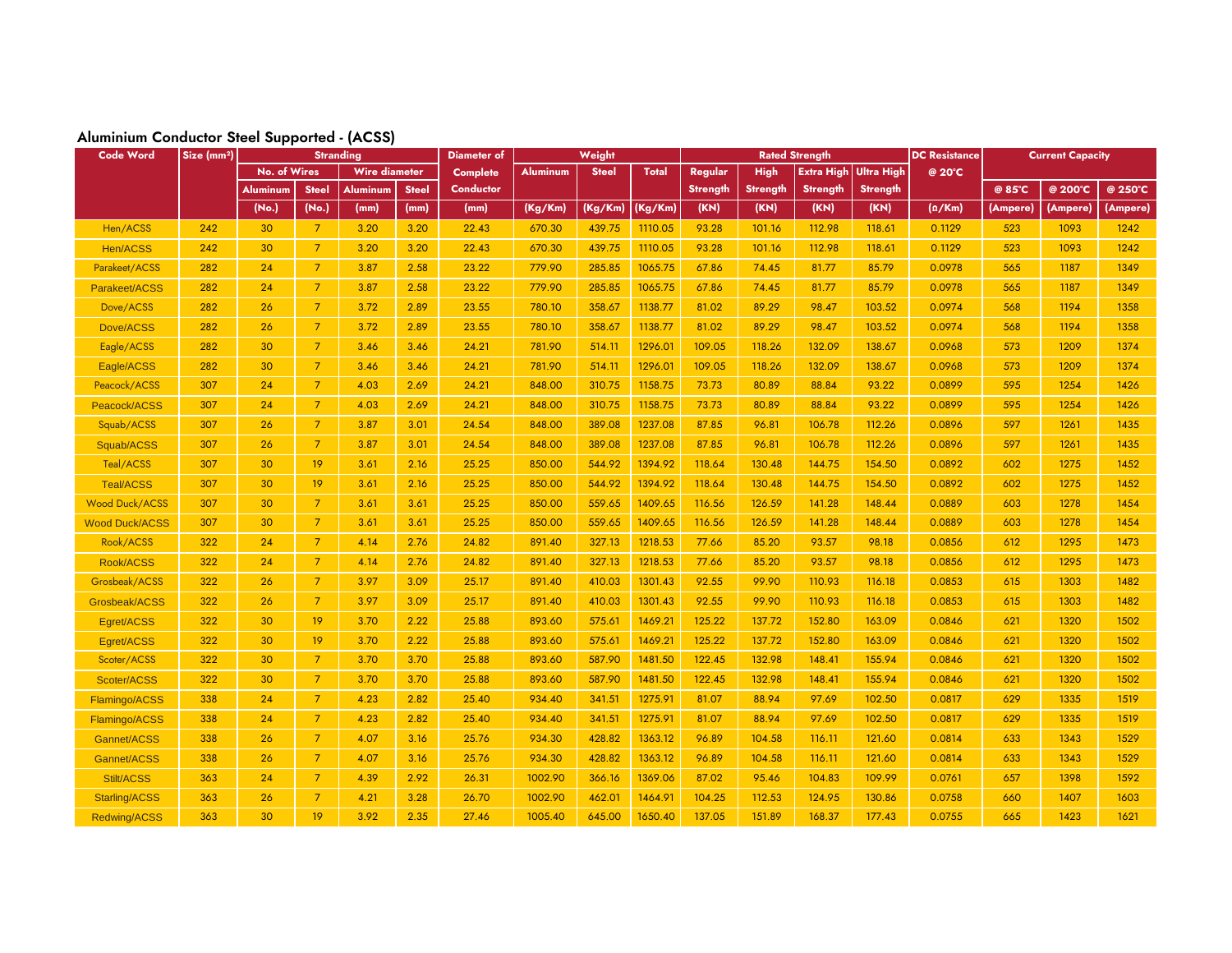

#### **Aluminum Steel Aluminum Steel @ 85°C @ 200°C @ 250°C (No.) (No.) (mm) (mm) (mm) (Kg/Km) (Kg/Km) (Kg/Km) (KN) (KN) (KN) (KN) (Ω/Km) (Ampere) (Ampere) (Ampere)** Hen/ACSS | 242 | 30 | 7 | 3.20 | 3.20 | 22.43 | 670.30 | 439.75 |1110.05 | 93.28 | 101.16 | 112.98 | 118.61 | 0.1129 | 523 | 1093 | 1242 Hen/ACSS 242 30 7 3.20 3.20 22.43 670.30 439.75 1110.05 93.28 101.16 112.98 118.61 0.1129 523 1093 1242 Parakeet/ACSS | 282 | 24 | 7 | 3.87 | 2.58 | 23.22 | 779.90 | 285.85 | 1065.75 | 67.86 | 74.45 | 81.77 | 85.79 | 0.0978 | 565 | 1187 | 1349 Parakeet/ACSS | 282 | 24 | 7 | 3.87 | 2.58 | 23.22 | 779.90 | 285.85 |1065.75 |67.86 | 74.45 | 81.77 | 85.79 | 0.0978 | 565 | 1187 | 1349 Dove/ACSS | 282 | 26 | 7 | 3.72 | 2.89 | 23.55 | 780.10 | 358.67 |1138.77 | 81.02 | 89.29 | 98.47 | 103.52 | 0.0974 | 568 | 1194 | 1358 Dove/ACSS 282 26 7 3.72 2.89 23.55 780.10 358.67 1138.77 81.02 89.29 98.47 103.52 0.0974 568 1194 1358 Eagle/ACSS | 282 | 30 | 7 | 3.46 | 3.46 | 24.21 | 781.90 | 514.11 1296.01 109.05 | 118.26 | 132.09 | 138.67 | 0.0968 | 573 | 1209 | 1374 Eagle/ACSS | 282 | 30 | 7 | 3.46 | 3.46 | 24.21 | 781.90 | 514.11 1296.01 109.05 | 118.26 | 132.09 | 138.67 | 0.0968 | 573 | 1209 | 1374 Peacock/ACSS | 307 | 24 | 7 | 4.03 | 2.69 | 24.21 | 848.00 | 310.75 |1158.75 | 73.73 | 80.89 | 88.84 | 93.22 | 0.0899 | 595 | 1254 | 1426 Peacock/ACSS | 307 | 24 | 7 | 4.03 | 2.69 | 24.21 | 848.00 | 310.75 |1158.75 | 73.73 | 80.89 | 88.84 | 93.22 | 0.0899 | 595 | 1254 | 1426 Squab/ACSS | 307 | 26 | 7 | 3.87 | 3.01 | 24.54 | 848.00 | 389.08 |1237.08 | 87.85 | 96.81 | 106.78 | 112.26 | 0.0896 | 597 | 1261 | 1435 Squab/ACSS | 307 | 26 | 7 | 3.87 | 3.01 | 24.54 | 848.00 | 389.08 |1237.08 | 87.85 | 96.81 | 106.78 | 112.26 | 0.0896 | 597 | 1261 | 1435 Teal/ACSS | 307 | 30 | 19 | 3.61 | 2.16 | 25.25 | 850.00 | 544.92 |1394.92 | 118.64 | 130.48 | 144.75 | 154.50 | 0.0892 | 602 | 1275 | 1452 Teal/ACSS | 307 | 30 | 19 | 3.61 | 2.16 | 25.25 | 850.00 | 544.92 |1394.92 | 118.64 | 130.48 | 144.75 | 154.50 | 0.0892 | 602 | 1275 | 1452 Wood Duck/ACSS | 307 | 30 | 7 | 3.61 | 3.61 | 25.25 | 850.00 | 559.65 |1409.65 | 116.56 | 126.59 | 141.28 | 148.44 | 0.0889 | 603 | 1278 | 1454 Wood Duck/ACSS 307 30 7 3.61 25.25 850.00 559.65 1409.65 116.56 126.59 141.28 148.44 0.0889 603 1278 1454 Rook/ACSS | 322 | 24 | 7 | 4.14 | 2.76 | 24.82 | 891.40 | 327.13 |1218.53 | 77.66 | 85.20 | 93.57 | 98.18 | 0.0856 | 612 | 1295 | 1473 Rook/ACSS | 322 | 24 | 7 | 4.14 | 2.76 | 24.82 | 891.40 | 327.13 |1218.53 | 77.66 | 85.20 | 93.57 | 98.18 | 0.0856 | 612 | 1295 | 1473 Grosbeak/ACSS | 322 | 26 | 7 | 3.97 | 3.09 | 25.17 | 891.40 | 410.03 |1301.43 | 92.55 | 99.90 | 110.93 | 116.18 | 0.0853 | 615 | 1303 | 1482 Grosbeak/ACSS | 322 | 26 | 7 | 3.97 | 3.09 | 25.17 | 891.40 | 410.03 | 1301.43 | 92.55 | 99.90 | 110.93 | 116.18 | 0.0853 | 615 | 1303 | 1482 Egret/ACSS | 322 | 30 | 19 | 3.70 | 2.22 | 25.88 | 893.60 | 575.61 |1469.21 |125.22 | 137.72 | 152.80 | 163.09 | 0.0846 | 621 | 1320 | 1502 Egret/ACSS | 322 | 30 | 19 | 3.70 | 2.22 | 25.88 | 893.60 | 575.61 |1469.21 |125.22 | 137.72 | 152.80 | 163.09 | 0.0846 | 621 | 1320 | 1502 Scoter/ACSS | 322 | 30 | 7 | 3.70 | 3.70 | 25.88 | 893.60 | 587.90 |1481.50 | 122.45 | 132.98 | 148.41 | 155.94 | 0.0846 | 621 | 1320 | 1502 Scoter/ACSS | 322 | 30 | 7 | 3.70 | 3.70 | 25.88 | 893.60 |587.90 |1481.50 |122.45 | 132.98 | 148.41 | 155.94 | 0.0846 | 621 | 1320 | 1502 Flamingo/ACSS | 338 | 24 | 7 | 4.23 | 2.82 | 25.40 | 934.40 | 341.51 |1275.91 | 81.07 | 88.94 | 97.69 | 102.50 | 0.0817 | 629 | 1335 | 1519 Flamingo/ACSS | 338 | 24 | 7 | 4.23 | 2.82 | 25.40 | 934.40 | 341.51 |1275.91 | 81.07 | 88.94 | 97.69 | 102.50 | 0.0817 | 629 | 1335 | 1519 Gannet/ACSS | 338 | 26 | 7 | 4.07 | 3.16 | 25.76 | 934.30 | 428.82 |1363.12 | 96.89 | 104.58 | 116.11 | 121.60 | 0.0814 | 633 | 1343 | 1529 Gannet/ACSS | 338 | 26 | 7 | 4.07 | 3.16 | 25.76 | 934.30 | 428.82 |1363.12 | 96.89 | 104.58 | 116.11 | 121.60 | 0.0814 | 633 | 1343 | 1529 Stilt/ACSS | 363 | 24 | 7 | 4.39 | 2.92 | 26.31 | 1002.90 | 366.16 |1369.06 | 87.02 | 95.46 | 104.83 | 109.99 | 0.0761 | 657 | 1398 | 1592 Starling/ACSS | 363 | 26 | 7 | 4.21 | 3.28 | 26.70 | 1002.90 | 462.01 |1464.91 | 104.25 | 112.53 | 124.95 | 130.86 | 0.0758 | 660 | 1407 | 1603 Redwing/ACSS | 363 | 30 | 19 | 3.92 | 2.35 | 27.46 | 1005.40 | 645.00 | 1650.40 | 137.05 | 168.37 | 177.43 | 0.0755 | 665 | 1423 | 1621 **Code Word**  $|\text{Size (mm}^2)|$  **Stranding Diameter of Complete Conductor Weight No. of Wires** Wire diameter Complete Aluminum Steel Total **Rated Strength BE DC Resistance @ 20°C Current Capacity Regular Strength High Strength Extra High Strength Ultra High Strength**

#### **Aluminium Conductor Steel Supported - (ACSS)**

#### NOTE :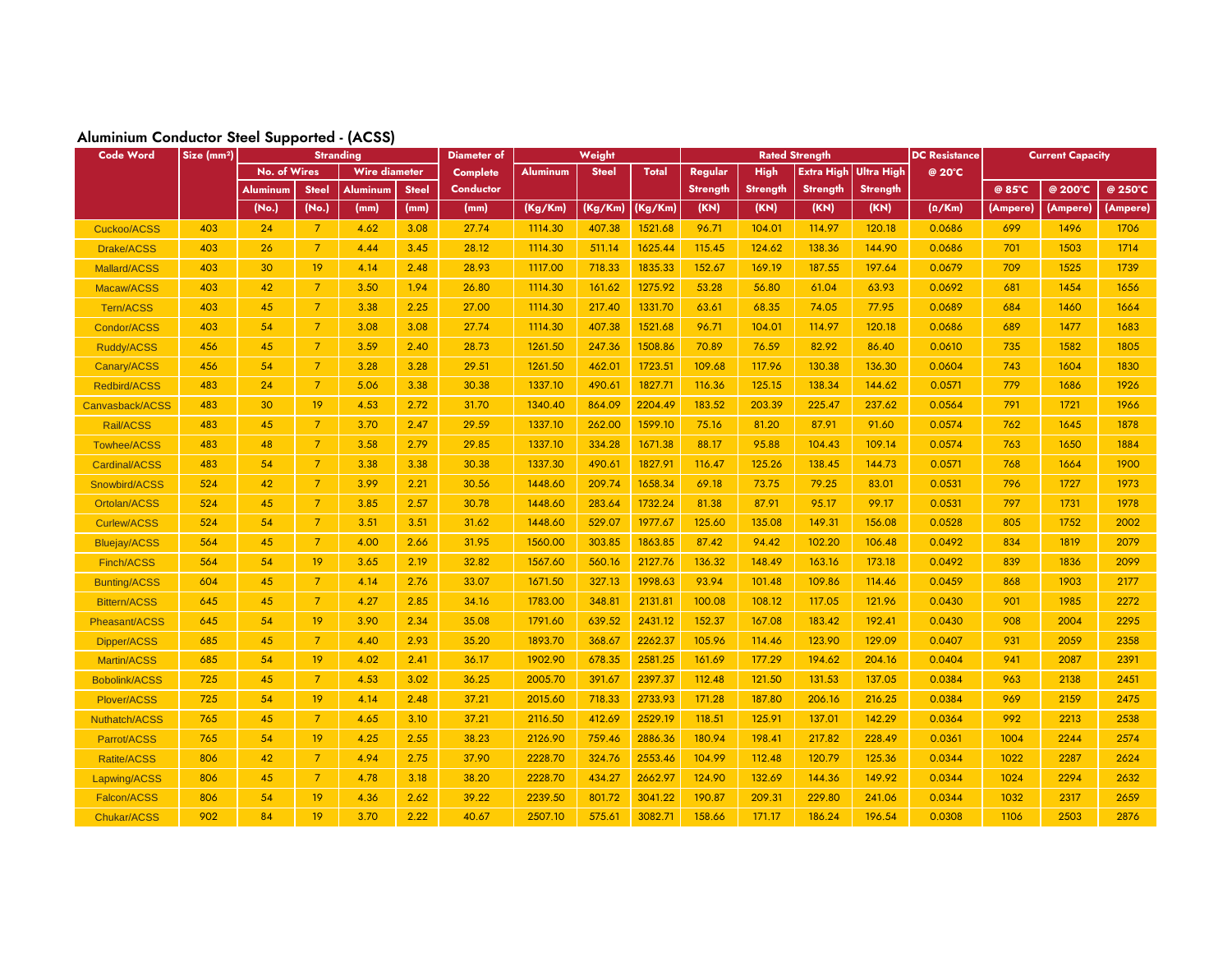

| <b>Code Word</b>    | Size (mm <sup>2</sup> ) | <b>Stranding</b>                                |                 |                      | <b>Diameter of</b> |                  | Weight          |              |              |                 | <b>Rated Strength</b> |                   | <b>DC Resistance</b><br><b>Current Capacity</b> |               |          |          |          |
|---------------------|-------------------------|-------------------------------------------------|-----------------|----------------------|--------------------|------------------|-----------------|--------------|--------------|-----------------|-----------------------|-------------------|-------------------------------------------------|---------------|----------|----------|----------|
|                     |                         | <b>No. of Wires</b><br><b>Steel</b><br>Aluminum |                 | <b>Wire diameter</b> |                    | <b>Complete</b>  | <b>Aluminum</b> | <b>Steel</b> | <b>Total</b> | <b>Regular</b>  | <b>High</b>           | <b>Extra High</b> | <b>Ultra High</b>                               | @ 20°C        |          |          |          |
|                     |                         |                                                 |                 | <b>Aluminum</b>      | <b>Steel</b>       | <b>Conductor</b> |                 |              |              | <b>Strength</b> | <b>Strength</b>       | <b>Strength</b>   | <b>Strength</b>                                 |               | @ 85°C   | @ 200°C  | @ 250°C  |
|                     |                         | (No.)                                           | (No.)           | (mm)                 | (mm)               | (mm)             | (Kg/Km)         | (Kg/Km)      | (Kg/Km)      | (KN)            | (KN)                  | (KN)              | (KN)                                            | $(\Omega/Km)$ | (Ampere) | (Ampere) | (Ampere) |
| Cuckoo/ACSS         | 403                     | 24                                              | $\overline{7}$  | 4.62                 | 3.08               | 27.74            | 1114.30         | 407.38       | 1521.68      | 96.71           | 104.01                | 114.97            | 120.18                                          | 0.0686        | 699      | 1496     | 1706     |
| Drake/ACSS          | 403                     | 26                                              | 7 <sup>7</sup>  | 4.44                 | 3.45               | 28.12            | 1114.30         | 511.14       | 1625.44      | 115.45          | 124.62                | 138.36            | 144.90                                          | 0.0686        | 701      | 1503     | 1714     |
| Mallard/ACSS        | 403                     | 30                                              | 19 <sup>°</sup> | 4.14                 | 2.48               | 28.93            | 1117.00         | 718.33       | 1835.33      | 152.67          | 169.19                | 187.55            | 197.64                                          | 0.0679        | 709      | 1525     | 1739     |
| Macaw/ACSS          | 403                     | 42                                              | $\overline{7}$  | 3.50                 | 1.94               | 26.80            | 1114.30         | 161.62       | 1275.92      | 53.28           | 56.80                 | 61.04             | 63.93                                           | 0.0692        | 681      | 1454     | 1656     |
| Tern/ACSS           | 403                     | 45                                              | 7 <sup>1</sup>  | 3.38                 | 2.25               | 27.00            | 1114.30         | 217.40       | 1331.70      | 63.61           | 68.35                 | 74.05             | 77.95                                           | 0.0689        | 684      | 1460     | 1664     |
| Condor/ACSS         | 403                     | 54                                              | 7 <sup>1</sup>  | 3.08                 | 3.08               | 27.74            | 1114.30         | 407.38       | 1521.68      | 96.71           | 104.01                | 114.97            | 120.18                                          | 0.0686        | 689      | 1477     | 1683     |
| Ruddy/ACSS          | 456                     | 45                                              | $\overline{7}$  | 3.59                 | 2.40               | 28.73            | 1261.50         | 247.36       | 1508.86      | 70.89           | 76.59                 | 82.92             | 86.40                                           | 0.0610        | 735      | 1582     | 1805     |
| Canary/ACSS         | 456                     | 54                                              | $\overline{7}$  | 3.28                 | 3.28               | 29.51            | 1261.50         | 462.01       | 1723.51      | 109.68          | 117.96                | 130.38            | 136.30                                          | 0.0604        | 743      | 1604     | 1830     |
| Redbird/ACSS        | 483                     | 24                                              | $\overline{7}$  | 5.06                 | 3.38               | 30.38            | 1337.10         | 490.61       | 1827.71      | 116.36          | 125.15                | 138.34            | 144.62                                          | 0.0571        | 779      | 1686     | 1926     |
| Canvasback/ACSS     | 483                     | 30                                              | 19 <sup>°</sup> | 4.53                 | 2.72               | 31.70            | 1340.40         | 864.09       | 2204.49      | 183.52          | 203.39                | 225.47            | 237.62                                          | 0.0564        | 791      | 1721     | 1966     |
| Rail/ACSS           | 483                     | 45                                              | $\overline{7}$  | 3.70                 | 2.47               | 29.59            | 1337.10         | 262.00       | 1599.10      | 75.16           | 81.20                 | 87.91             | 91.60                                           | 0.0574        | 762      | 1645     | 1878     |
| <b>Towhee/ACSS</b>  | 483                     | 48                                              | $\overline{7}$  | 3.58                 | 2.79               | 29.85            | 1337.10         | 334.28       | 1671.38      | 88.17           | 95.88                 | 104.43            | 109.14                                          | 0.0574        | 763      | 1650     | 1884     |
| Cardinal/ACSS       | 483                     | 54                                              | $\overline{7}$  | 3.38                 | 3.38               | 30.38            | 1337.30         | 490.61       | 1827.91      | 116.47          | 125.26                | 138.45            | 144.73                                          | 0.0571        | 768      | 1664     | 1900     |
| Snowbird/ACSS       | 524                     | 42                                              | $\overline{7}$  | 3.99                 | 2.21               | 30.56            | 1448.60         | 209.74       | 1658.34      | 69.18           | 73.75                 | 79.25             | 83.01                                           | 0.0531        | 796      | 1727     | 1973     |
| Ortolan/ACSS        | 524                     | 45                                              | $\overline{7}$  | 3.85                 | 2.57               | 30.78            | 1448.60         | 283.64       | 1732.24      | 81.38           | 87.91                 | 95.17             | 99.17                                           | 0.0531        | 797      | 1731     | 1978     |
| Curlew/ACSS         | 524                     | 54                                              | $\overline{7}$  | 3.51                 | 3.51               | 31.62            | 1448.60         | 529.07       | 1977.67      | 125.60          | 135.08                | 149.31            | 156.08                                          | 0.0528        | 805      | 1752     | 2002     |
| <b>Bluejay/ACSS</b> | 564                     | 45                                              | $\overline{7}$  | 4.00                 | 2.66               | 31.95            | 1560.00         | 303.85       | 1863.85      | 87.42           | 94.42                 | 102.20            | 106.48                                          | 0.0492        | 834      | 1819     | 2079     |
| Finch/ACSS          | 564                     | 54                                              | 19 <sup>°</sup> | 3.65                 | 2.19               | 32.82            | 1567.60         | 560.16       | 2127.76      | 136.32          | 148.49                | 163.16            | 173.18                                          | 0.0492        | 839      | 1836     | 2099     |
| <b>Bunting/ACSS</b> | 604                     | 45                                              | $\overline{7}$  | 4.14                 | 2.76               | 33.07            | 1671.50         | 327.13       | 1998.63      | 93.94           | 101.48                | 109.86            | 114.46                                          | 0.0459        | 868      | 1903     | 2177     |
| <b>Bittern/ACSS</b> | 645                     | 45                                              | $\overline{7}$  | 4.27                 | 2.85               | 34.16            | 1783.00         | 348.81       | 2131.81      | 100.08          | 108.12                | 117.05            | 121.96                                          | 0.0430        | 901      | 1985     | 2272     |
| Pheasant/ACSS       | 645                     | 54                                              | 19 <sup>°</sup> | 3.90                 | 2.34               | 35.08            | 1791.60         | 639.52       | 2431.12      | 152.37          | 167.08                | 183.42            | 192.41                                          | 0.0430        | 908      | 2004     | 2295     |
| Dipper/ACSS         | 685                     | 45                                              | $\overline{7}$  | 4.40                 | 2.93               | 35.20            | 1893.70         | 368.67       | 2262.37      | 105.96          | 114.46                | 123.90            | 129.09                                          | 0.0407        | 931      | 2059     | 2358     |
| Martin/ACSS         | 685                     | 54                                              | 19.             | 4.02                 | 2.41               | 36.17            | 1902.90         | 678.35       | 2581.25      | 161.69          | 177.29                | 194.62            | 204.16                                          | 0.0404        | 941      | 2087     | 2391     |
| Bobolink/ACSS       | 725                     | 45                                              | $7^{\circ}$     | 4.53                 | 3.02               | 36.25            | 2005.70         | 391.67       | 2397.37      | 112.48          | 121.50                | 131.53            | 137.05                                          | 0.0384        | 963      | 2138     | 2451     |
| Plover/ACSS         | 725                     | 54                                              | 19              | 4.14                 | 2.48               | 37.21            | 2015.60         | 718.33       | 2733.93      | 171.28          | 187.80                | 206.16            | 216.25                                          | 0.0384        | 969      | 2159     | 2475     |
| Nuthatch/ACSS       | 765                     | 45                                              | 7 <sup>7</sup>  | 4.65                 | 3.10               | 37.21            | 2116.50         | 412.69       | 2529.19      | 118.51          | 125.91                | 137.01            | 142.29                                          | 0.0364        | 992      | 2213     | 2538     |
| Parrot/ACSS         | 765                     | 54                                              | 19 <sup>°</sup> | 4.25                 | 2.55               | 38.23            | 2126.90         | 759.46       | 2886.36      | 180.94          | 198.41                | 217.82            | 228.49                                          | 0.0361        | 1004     | 2244     | 2574     |
| Ratite/ACSS         | 806                     | 42                                              | $\mathcal{I}$   | 4.94                 | 2.75               | 37.90            | 2228.70         | 324.76       | 2553.46      | 104.99          | 112.48                | 120.79            | 125.36                                          | 0.0344        | 1022     | 2287     | 2624     |
| Lapwing/ACSS        | 806                     | 45                                              | $\overline{7}$  | 4.78                 | 3.18               | 38.20            | 2228.70         | 434.27       | 2662.97      | 124.90          | 132.69                | 144.36            | 149.92                                          | 0.0344        | 1024     | 2294     | 2632     |
| Falcon/ACSS         | 806                     | 54                                              | 19              | 4.36                 | 2.62               | 39.22            | 2239.50         | 801.72       | 3041.22      | 190.87          | 209.31                | 229.80            | 241.06                                          | 0.0344        | 1032     | 2317     | 2659     |
| Chukar/ACSS         | 902                     | 84                                              | 19 <sup>°</sup> | 3.70                 | 2.22               | 40.67            | 2507.10         | 575.61       | 3082.71      | 158.66          | 171.17                | 186.24            | 196.54                                          | 0.0308        | 1106     | 2503     | 2876     |

#### NOTE :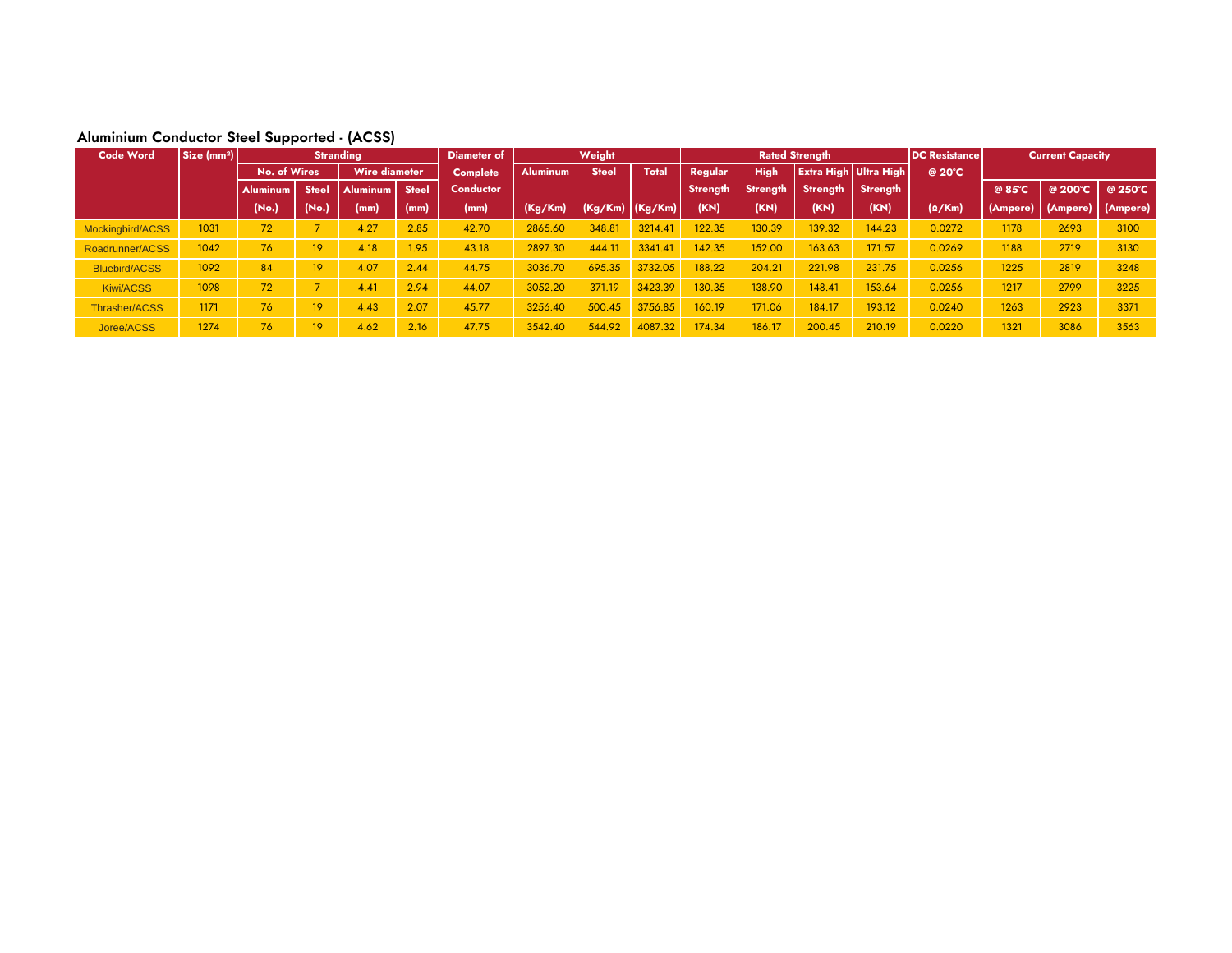

| <b>Code Word</b>     | Size (mm <sup>2</sup> ) | <b>Stranding</b>    |              |                         | Diameter of |                  | Weight          |                              |                     |                 | <b>Rated Strength</b>                         |                 | <b>DC Resistance</b> |               | <b>Current Capacity</b> |          |          |
|----------------------|-------------------------|---------------------|--------------|-------------------------|-------------|------------------|-----------------|------------------------------|---------------------|-----------------|-----------------------------------------------|-----------------|----------------------|---------------|-------------------------|----------|----------|
|                      |                         | <b>No. of Wires</b> |              | <b>Wire diameter</b>    |             | <b>Complete</b>  | <b>Aluminum</b> | <b>Total</b><br><b>Steel</b> |                     | Regular         | <b>Extra High   Ultra High</b><br><b>High</b> |                 |                      | @ 20°C        |                         |          |          |
|                      |                         | Aluminum I          | <b>Steel</b> | <b>Aluminum   Steel</b> |             | <b>Conductor</b> |                 |                              |                     | <b>Strength</b> | <b>Strength</b>                               | <b>Strength</b> | Strength             |               | @ 85°C                  | @ 200°C  | @ 250°C  |
|                      |                         | (No.)               | (No.         | (mm)                    | (mm)        | (mm)             | (Kg/Km)         |                              | $(Kg/Km)$ $(Kg/Km)$ | (KN)            | (KN)                                          | (KN)            | (KN)                 | $(\Omega/Km)$ | (Ampere)                | (Ampere) | (Ampere) |
| Mockingbird/ACSS     | 1031                    | 72                  |              | 4.27                    | 2.85        | 42.70            | 2865.60         | 348.81                       | 3214.41             | 122.35          | 130.39                                        | 139.32          | 144.23               | 0.0272        | 1178                    | 2693     | 3100     |
| Roadrunner/ACSS      | 1042                    | 76                  | 19           | 4.18                    | 1.95        | 43.18            | 2897.30         | 444.11                       | 3341.41             | 142.35          | 152.00                                        | 163.63          | 171.57               | 0.0269        | 1188                    | 2719     | 3130     |
| <b>Bluebird/ACSS</b> | 1092                    | 84                  | 19           | 4.07                    | 2.44        | 44.75            | 3036.70         | 695.35                       | 3732.05             | 188.22          | 204.21                                        | 221.98          | 231.75               | 0.0256        | 1225                    | 2819     | 3248     |
| Kiwi/ACSS            | 1098                    | 72                  |              | 4.41                    | 2.94        | 44.07            | 3052.20         | 371.19                       | 3423.39             | 130.35          | 138.90                                        | 148.41          | 153.64               | 0.0256        | 1217                    | 2799     | 3225     |
| Thrasher/ACSS        | 1171                    | 76                  | 19           | 4.43                    | 2.07        | 45.77            | 3256.40         | 500.45                       | 3756.85             | 160.19          | 171.06                                        | 184.17          | 193.12               | 0.0240        | 1263                    | 2923     | 3371     |
| Joree/ACSS           | 1274                    | 76                  | 19           | 4.62                    | 2.16        | 47.75            | 3542.40         | 544.92                       | 4087.32             | 174.34          | 186.17                                        | 200.45          | 210.19               | 0.0220        | 1321                    | 3086     | 3563     |

#### NOTE :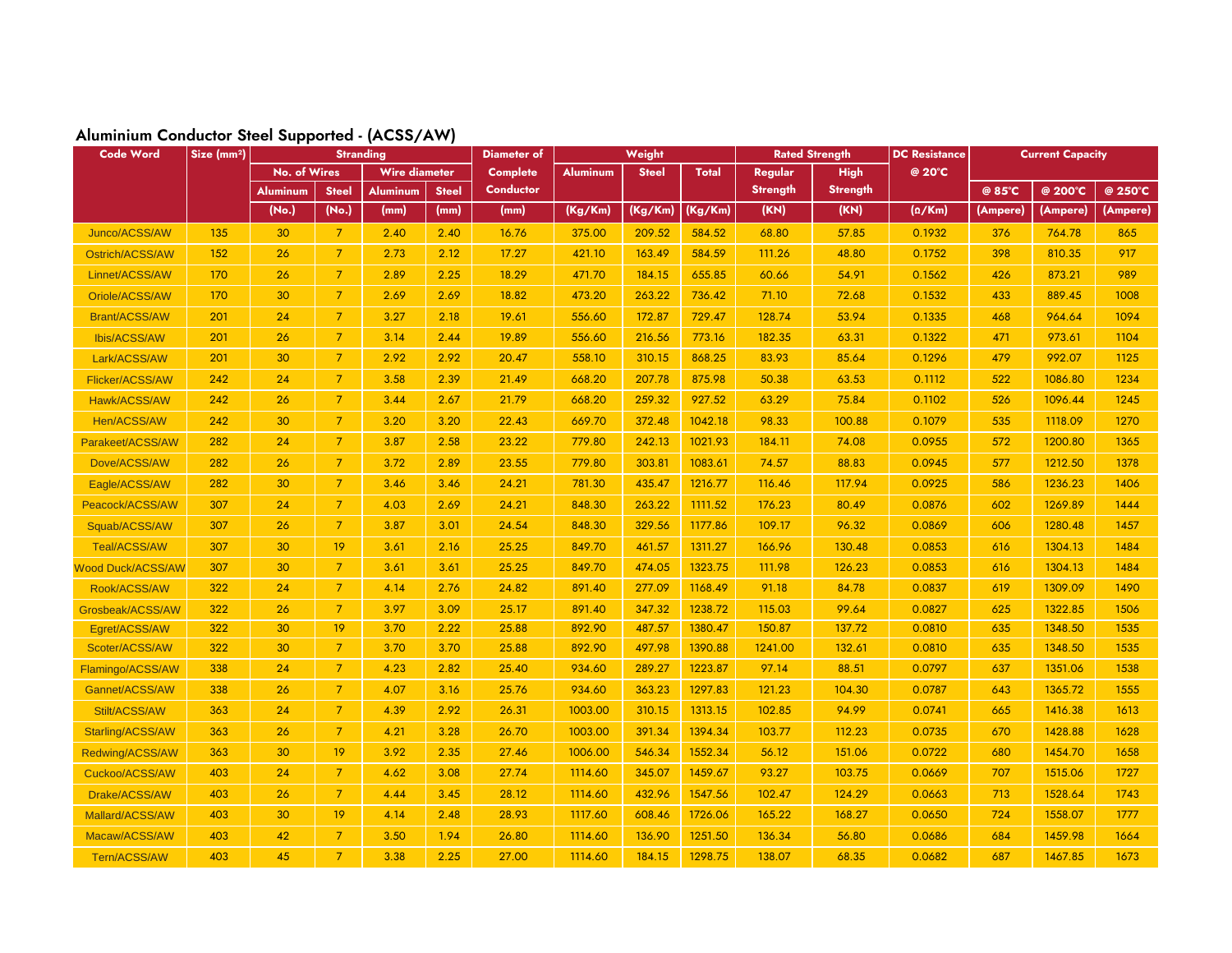

| <b>Code Word</b>         | Size (mm <sup>2</sup> ) |                 | <b>Stranding</b> |                      |              | <b>Diameter of</b> |                 | Weight       |              |                 | <b>Rated Strength</b> | <b>DC Resistance</b> |          | <b>Current Capacity</b> |          |  |
|--------------------------|-------------------------|-----------------|------------------|----------------------|--------------|--------------------|-----------------|--------------|--------------|-----------------|-----------------------|----------------------|----------|-------------------------|----------|--|
|                          |                         | No. of Wires    |                  | <b>Wire diameter</b> |              | <b>Complete</b>    | <b>Aluminum</b> | <b>Steel</b> | <b>Total</b> | <b>Regular</b>  | <b>High</b>           | @ 20°C               |          |                         |          |  |
|                          |                         | <b>Aluminum</b> | <b>Steel</b>     | <b>Aluminum</b>      | <b>Steel</b> | <b>Conductor</b>   |                 |              |              | <b>Strength</b> | <b>Strength</b>       |                      | @ 85°C   | @ 200°C                 | @ 250°C  |  |
|                          |                         | (No.)           | (No.)            | (mm)                 | (mm)         | (mm)               | (Kg/Km)         | (Kg/Km)      | (Kg/Km)      | (KN)            | (KN)                  | $(\Omega/Km)$        | (Ampere) | (Ampere)                | (Ampere) |  |
| Junco/ACSS/AW            | 135                     | 30              | $\overline{7}$   | 2.40                 | 2.40         | 16.76              | 375.00          | 209.52       | 584.52       | 68.80           | 57.85                 | 0.1932               | 376      | 764.78                  | 865      |  |
| Ostrich/ACSS/AW          | 152                     | 26              | $\overline{7}$   | 2.73                 | 2.12         | 17.27              | 421.10          | 163.49       | 584.59       | 111.26          | 48.80                 | 0.1752               | 398      | 810.35                  | 917      |  |
| Linnet/ACSS/AW           | 170                     | 26              | $\overline{7}$   | 2.89                 | 2.25         | 18.29              | 471.70          | 184.15       | 655.85       | 60.66           | 54.91                 | 0.1562               | 426      | 873.21                  | 989      |  |
| Oriole/ACSS/AW           | 170                     | 30              | $\overline{7}$   | 2.69                 | 2.69         | 18.82              | 473.20          | 263.22       | 736.42       | 71.10           | 72.68                 | 0.1532               | 433      | 889.45                  | 1008     |  |
| Brant/ACSS/AW            | 201                     | 24              | $\overline{7}$   | 3.27                 | 2.18         | 19.61              | 556.60          | 172.87       | 729.47       | 128.74          | 53.94                 | 0.1335               | 468      | 964.64                  | 1094     |  |
| Ibis/ACSS/AW             | 201                     | 26              | $\overline{7}$   | 3.14                 | 2.44         | 19.89              | 556.60          | 216.56       | 773.16       | 182.35          | 63.31                 | 0.1322               | 471      | 973.61                  | 1104     |  |
| Lark/ACSS/AW             | 201                     | 30              | $\overline{7}$   | 2.92                 | 2.92         | 20.47              | 558.10          | 310.15       | 868.25       | 83.93           | 85.64                 | 0.1296               | 479      | 992.07                  | 1125     |  |
| Flicker/ACSS/AW          | 242                     | 24              | $\overline{7}$   | 3.58                 | 2.39         | 21.49              | 668.20          | 207.78       | 875.98       | 50.38           | 63.53                 | 0.1112               | 522      | 1086.80                 | 1234     |  |
| Hawk/ACSS/AW             | 242                     | 26              | $\overline{7}$   | 3.44                 | 2.67         | 21.79              | 668.20          | 259.32       | 927.52       | 63.29           | 75.84                 | 0.1102               | 526      | 1096.44                 | 1245     |  |
| Hen/ACSS/AW              | 242                     | 30              | $\overline{7}$   | 3.20                 | 3.20         | 22.43              | 669.70          | 372.48       | 1042.18      | 98.33           | 100.88                | 0.1079               | 535      | 1118.09                 | 1270     |  |
| Parakeet/ACSS/AW         | 282                     | 24              | $\overline{7}$   | 3.87                 | 2.58         | 23.22              | 779.80          | 242.13       | 1021.93      | 184.11          | 74.08                 | 0.0955               | 572      | 1200.80                 | 1365     |  |
| Dove/ACSS/AW             | 282                     | 26              | $\overline{7}$   | 3.72                 | 2.89         | 23.55              | 779.80          | 303.81       | 1083.61      | 74.57           | 88.83                 | 0.0945               | 577      | 1212.50                 | 1378     |  |
| Eagle/ACSS/AW            | 282                     | 30              | $\overline{7}$   | 3.46                 | 3.46         | 24.21              | 781.30          | 435.47       | 1216.77      | 116.46          | 117.94                | 0.0925               | 586      | 1236.23                 | 1406     |  |
| Peacock/ACSS/AW          | 307                     | 24              | $\overline{7}$   | 4.03                 | 2.69         | 24.21              | 848.30          | 263.22       | 1111.52      | 176.23          | 80.49                 | 0.0876               | 602      | 1269.89                 | 1444     |  |
| Squab/ACSS/AW            | 307                     | 26              | $\overline{7}$   | 3.87                 | 3.01         | 24.54              | 848.30          | 329.56       | 1177.86      | 109.17          | 96.32                 | 0.0869               | 606      | 1280.48                 | 1457     |  |
| Teal/ACSS/AW             | 307                     | 30              | 19               | 3.61                 | 2.16         | 25.25              | 849.70          | 461.57       | 1311.27      | 166.96          | 130.48                | 0.0853               | 616      | 1304.13                 | 1484     |  |
| <b>Wood Duck/ACSS/AW</b> | 307                     | 30              | $\overline{7}$   | 3.61                 | 3.61         | 25.25              | 849.70          | 474.05       | 1323.75      | 111.98          | 126.23                | 0.0853               | 616      | 1304.13                 | 1484     |  |
| Rook/ACSS/AW             | 322                     | 24              | $\overline{7}$   | 4.14                 | 2.76         | 24.82              | 891.40          | 277.09       | 1168.49      | 91.18           | 84.78                 | 0.0837               | 619      | 1309.09                 | 1490     |  |
| Grosbeak/ACSS/AW         | 322                     | 26              | $\overline{7}$   | 3.97                 | 3.09         | 25.17              | 891.40          | 347.32       | 1238.72      | 115.03          | 99.64                 | 0.0827               | 625      | 1322.85                 | 1506     |  |
| Egret/ACSS/AW            | 322                     | 30              | 19               | 3.70                 | 2.22         | 25.88              | 892.90          | 487.57       | 1380.47      | 150.87          | 137.72                | 0.0810               | 635      | 1348.50                 | 1535     |  |
| Scoter/ACSS/AW           | 322                     | 30              | $\overline{7}$   | 3.70                 | 3.70         | 25.88              | 892.90          | 497.98       | 1390.88      | 1241.00         | 132.61                | 0.0810               | 635      | 1348.50                 | 1535     |  |
| Flamingo/ACSS/AW         | 338                     | 24              | $\overline{7}$   | 4.23                 | 2.82         | 25.40              | 934.60          | 289.27       | 1223.87      | 97.14           | 88.51                 | 0.0797               | 637      | 1351.06                 | 1538     |  |
| Gannet/ACSS/AW           | 338                     | 26              | 7                | 4.07                 | 3.16         | 25.76              | 934.60          | 363.23       | 1297.83      | 121.23          | 104.30                | 0.0787               | 643      | 1365.72                 | 1555     |  |
| Stilt/ACSS/AW            | 363                     | 24              | $\overline{7}$   | 4.39                 | 2.92         | 26.31              | 1003.00         | 310.15       | 1313.15      | 102.85          | 94.99                 | 0.0741               | 665      | 1416.38                 | 1613     |  |
| Starling/ACSS/AW         | 363                     | 26              | $\overline{7}$   | 4.21                 | 3.28         | 26.70              | 1003.00         | 391.34       | 1394.34      | 103.77          | 112.23                | 0.0735               | 670      | 1428.88                 | 1628     |  |
| Redwing/ACSS/AW          | 363                     | 30              | 19               | 3.92                 | 2.35         | 27.46              | 1006.00         | 546.34       | 1552.34      | 56.12           | 151.06                | 0.0722               | 680      | 1454.70                 | 1658     |  |
| Cuckoo/ACSS/AW           | 403                     | 24              | $\overline{7}$   | 4.62                 | 3.08         | 27.74              | 1114.60         | 345.07       | 1459.67      | 93.27           | 103.75                | 0.0669               | 707      | 1515.06                 | 1727     |  |
| Drake/ACSS/AW            | 403                     | 26              | $\overline{7}$   | 4.44                 | 3.45         | 28.12              | 1114.60         | 432.96       | 1547.56      | 102.47          | 124.29                | 0.0663               | 713      | 1528.64                 | 1743     |  |
| Mallard/ACSS/AW          | 403                     | 30              | 19               | 4.14                 | 2.48         | 28.93              | 1117.60         | 608.46       | 1726.06      | 165.22          | 168.27                | 0.0650               | 724      | 1558.07                 | 1777     |  |
| Macaw/ACSS/AW            | 403                     | 42              | $\overline{7}$   | 3.50                 | 1.94         | 26.80              | 1114.60         | 136.90       | 1251.50      | 136.34          | 56.80                 | 0.0686               | 684      | 1459.98                 | 1664     |  |
| Tern/ACSS/AW             | 403                     | 45              | $\overline{7}$   | 3.38                 | 2.25         | 27.00              | 1114.60         | 184.15       | 1298.75      | 138.07          | 68.35                 | 0.0682               | 687      | 1467.85                 | 1673     |  |

NOTE :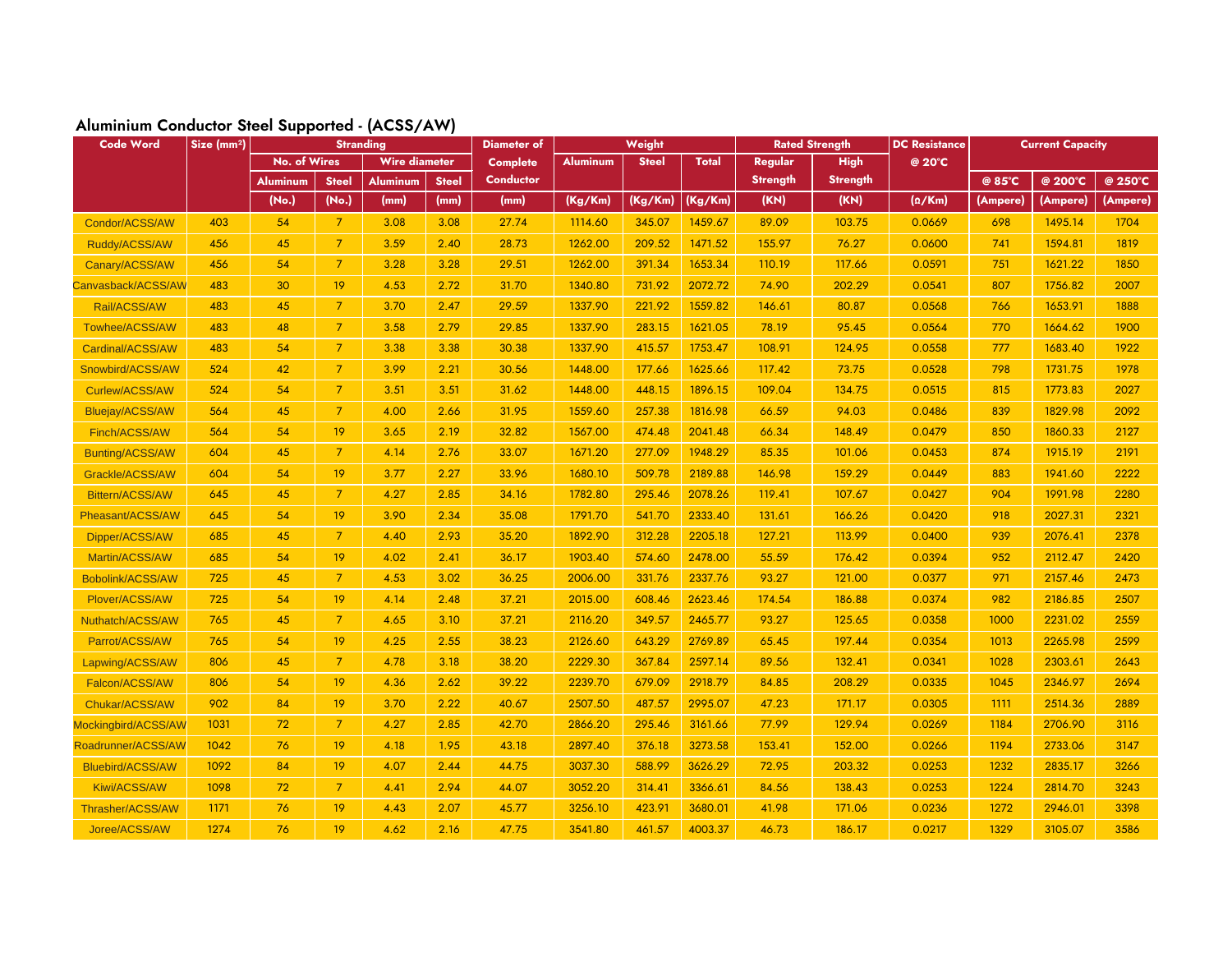

| <b>Code Word</b>       | Size (mm <sup>2</sup> ) |                     | <b>Stranding</b> |                      |              | <b>Diameter of</b> |                 | Weight       |              |                 | <b>Rated Strength</b> | <b>DC Resistance</b> | <b>Current Capacity</b> |          |          |  |
|------------------------|-------------------------|---------------------|------------------|----------------------|--------------|--------------------|-----------------|--------------|--------------|-----------------|-----------------------|----------------------|-------------------------|----------|----------|--|
|                        |                         | <b>No. of Wires</b> |                  | <b>Wire diameter</b> |              | <b>Complete</b>    | <b>Aluminum</b> | <b>Steel</b> | <b>Total</b> | Regular         | <b>High</b>           | @ 20°C               |                         |          |          |  |
|                        |                         | <b>Aluminum</b>     | <b>Steel</b>     | <b>Aluminum</b>      | <b>Steel</b> | <b>Conductor</b>   |                 |              |              | <b>Strength</b> | <b>Strength</b>       |                      | @85°C                   | @ 200°C  | @ 250°C  |  |
|                        |                         | (No.)               | (No.)            | (mm)                 | (mm)         | (mm)               | (Kg/Km)         | (Kg/Km)      | (Kg/Km)      | (KN)            | (KN)                  | $(\Omega/Km)$        | (Ampere)                | (Ampere) | (Ampere) |  |
| Condor/ACSS/AW         | 403                     | 54                  | $\overline{7}$   | 3.08                 | 3.08         | 27.74              | 1114.60         | 345.07       | 1459.67      | 89.09           | 103.75                | 0.0669               | 698                     | 1495.14  | 1704     |  |
| Ruddy/ACSS/AW          | 456                     | 45                  | $\overline{7}$   | 3.59                 | 2.40         | 28.73              | 1262.00         | 209.52       | 1471.52      | 155.97          | 76.27                 | 0.0600               | 741                     | 1594.81  | 1819     |  |
| Canary/ACSS/AW         | 456                     | 54                  | $\overline{7}$   | 3.28                 | 3.28         | 29.51              | 1262.00         | 391.34       | 1653.34      | 110.19          | 117.66                | 0.0591               | 751                     | 1621.22  | 1850     |  |
| Canvasback/ACSS/AW     | 483                     | 30                  | 19               | 4.53                 | 2.72         | 31.70              | 1340.80         | 731.92       | 2072.72      | 74.90           | 202.29                | 0.0541               | 807                     | 1756.82  | 2007     |  |
| Rail/ACSS/AW           | 483                     | 45                  | $\overline{7}$   | 3.70                 | 2.47         | 29.59              | 1337.90         | 221.92       | 1559.82      | 146.61          | 80.87                 | 0.0568               | 766                     | 1653.91  | 1888     |  |
| Towhee/ACSS/AW         | 483                     | 48                  | $\overline{7}$   | 3.58                 | 2.79         | 29.85              | 1337.90         | 283.15       | 1621.05      | 78.19           | 95.45                 | 0.0564               | 770                     | 1664.62  | 1900     |  |
| Cardinal/ACSS/AW       | 483                     | 54                  | $\overline{7}$   | 3.38                 | 3.38         | 30.38              | 1337.90         | 415.57       | 1753.47      | 108.91          | 124.95                | 0.0558               | 777                     | 1683.40  | 1922     |  |
| Snowbird/ACSS/AW       | 524                     | 42                  | $\overline{7}$   | 3.99                 | 2.21         | 30.56              | 1448.00         | 177.66       | 1625.66      | 117.42          | 73.75                 | 0.0528               | 798                     | 1731.75  | 1978     |  |
| Curlew/ACSS/AW         | 524                     | 54                  | $\overline{7}$   | 3.51                 | 3.51         | 31.62              | 1448.00         | 448.15       | 1896.15      | 109.04          | 134.75                | 0.0515               | 815                     | 1773.83  | 2027     |  |
| Bluejay/ACSS/AW        | 564                     | 45                  | $\overline{7}$   | 4.00                 | 2.66         | 31.95              | 1559.60         | 257.38       | 1816.98      | 66.59           | 94.03                 | 0.0486               | 839                     | 1829.98  | 2092     |  |
| Finch/ACSS/AW          | 564                     | 54                  | 19               | 3.65                 | 2.19         | 32.82              | 1567.00         | 474.48       | 2041.48      | 66.34           | 148.49                | 0.0479               | 850                     | 1860.33  | 2127     |  |
| <b>Bunting/ACSS/AW</b> | 604                     | 45                  | $\overline{7}$   | 4.14                 | 2.76         | 33.07              | 1671.20         | 277.09       | 1948.29      | 85.35           | 101.06                | 0.0453               | 874                     | 1915.19  | 2191     |  |
| Grackle/ACSS/AW        | 604                     | 54                  | 19               | 3.77                 | 2.27         | 33.96              | 1680.10         | 509.78       | 2189.88      | 146.98          | 159.29                | 0.0449               | 883                     | 1941.60  | 2222     |  |
| Bittern/ACSS/AW        | 645                     | 45                  | $\overline{7}$   | 4.27                 | 2.85         | 34.16              | 1782.80         | 295.46       | 2078.26      | 119.41          | 107.67                | 0.0427               | 904                     | 1991.98  | 2280     |  |
| Pheasant/ACSS/AW       | 645                     | 54                  | 19               | 3.90                 | 2.34         | 35.08              | 1791.70         | 541.70       | 2333.40      | 131.61          | 166.26                | 0.0420               | 918                     | 2027.31  | 2321     |  |
| Dipper/ACSS/AW         | 685                     | 45                  | $\overline{7}$   | 4.40                 | 2.93         | 35.20              | 1892.90         | 312.28       | 2205.18      | 127.21          | 113.99                | 0.0400               | 939                     | 2076.41  | 2378     |  |
| Martin/ACSS/AW         | 685                     | 54                  | 19               | 4.02                 | 2.41         | 36.17              | 1903.40         | 574.60       | 2478.00      | 55.59           | 176.42                | 0.0394               | 952                     | 2112.47  | 2420     |  |
| Bobolink/ACSS/AW       | 725                     | 45                  | $\overline{7}$   | 4.53                 | 3.02         | 36.25              | 2006.00         | 331.76       | 2337.76      | 93.27           | 121.00                | 0.0377               | 971                     | 2157.46  | 2473     |  |
| Plover/ACSS/AW         | 725                     | 54                  | 19               | 4.14                 | 2.48         | 37.21              | 2015.00         | 608.46       | 2623.46      | 174.54          | 186.88                | 0.0374               | 982                     | 2186.85  | 2507     |  |
| Nuthatch/ACSS/AW       | 765                     | 45                  | $\overline{7}$   | 4.65                 | 3.10         | 37.21              | 2116.20         | 349.57       | 2465.77      | 93.27           | 125.65                | 0.0358               | 1000                    | 2231.02  | 2559     |  |
| Parrot/ACSS/AW         | 765                     | 54                  | 19               | 4.25                 | 2.55         | 38.23              | 2126.60         | 643.29       | 2769.89      | 65.45           | 197.44                | 0.0354               | 1013                    | 2265.98  | 2599     |  |
| Lapwing/ACSS/AW        | 806                     | 45                  | $\overline{7}$   | 4.78                 | 3.18         | 38.20              | 2229.30         | 367.84       | 2597.14      | 89.56           | 132.41                | 0.0341               | 1028                    | 2303.61  | 2643     |  |
| Falcon/ACSS/AW         | 806                     | 54                  | 19 <sup>°</sup>  | 4.36                 | 2.62         | 39.22              | 2239.70         | 679.09       | 2918.79      | 84.85           | 208.29                | 0.0335               | 1045                    | 2346.97  | 2694     |  |
| Chukar/ACSS/AW         | 902                     | 84                  | 19               | 3.70                 | 2.22         | 40.67              | 2507.50         | 487.57       | 2995.07      | 47.23           | 171.17                | 0.0305               | 1111                    | 2514.36  | 2889     |  |
| Mockingbird/ACSS/AW    | 1031                    | 72                  | $\overline{7}$   | 4.27                 | 2.85         | 42.70              | 2866.20         | 295.46       | 3161.66      | 77.99           | 129.94                | 0.0269               | 1184                    | 2706.90  | 3116     |  |
| Roadrunner/ACSS/AW     | 1042                    | 76                  | 19               | 4.18                 | 1.95         | 43.18              | 2897.40         | 376.18       | 3273.58      | 153.41          | 152.00                | 0.0266               | 1194                    | 2733.06  | 3147     |  |
| Bluebird/ACSS/AW       | 1092                    | 84                  | 19               | 4.07                 | 2.44         | 44.75              | 3037.30         | 588.99       | 3626.29      | 72.95           | 203.32                | 0.0253               | 1232                    | 2835.17  | 3266     |  |
| Kiwi/ACSS/AW           | 1098                    | 72                  | $\overline{7}$   | 4.41                 | 2.94         | 44.07              | 3052.20         | 314.41       | 3366.61      | 84.56           | 138.43                | 0.0253               | 1224                    | 2814.70  | 3243     |  |
| Thrasher/ACSS/AW       | 1171                    | 76                  | 19               | 4.43                 | 2.07         | 45.77              | 3256.10         | 423.91       | 3680.01      | 41.98           | 171.06                | 0.0236               | 1272                    | 2946.01  | 3398     |  |
| Joree/ACSS/AW          | 1274                    | 76                  | 19               | 4.62                 | 2.16         | 47.75              | 3541.80         | 461.57       | 4003.37      | 46.73           | 186.17                | 0.0217               | 1329                    | 3105.07  | 3586     |  |

#### NOTE :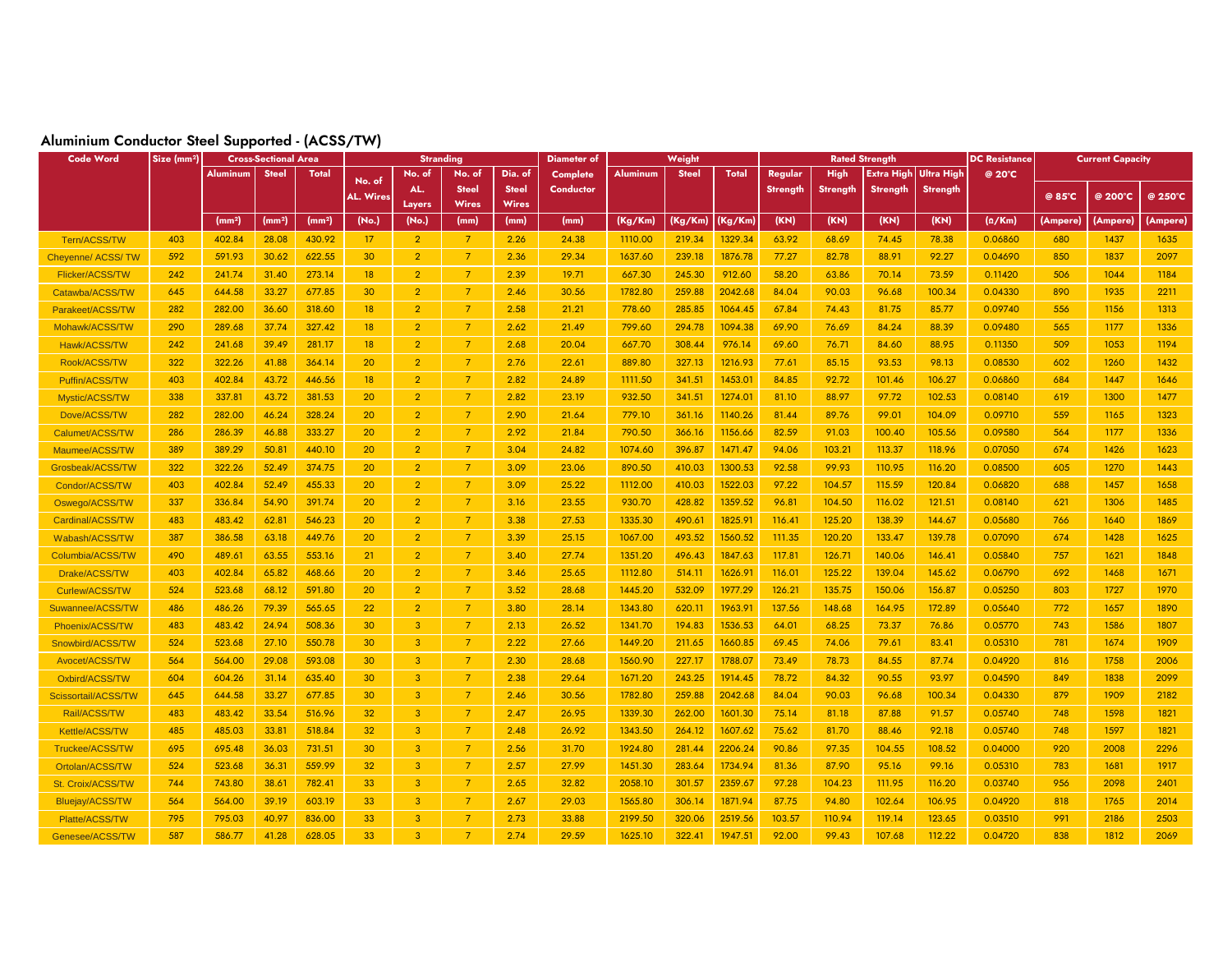| <b>Code Word</b>    | Size (mm <sup>2</sup> ) | <b>Cross-Sectional Area</b> |                    |                    | <b>Stranding</b> |                |                | <b>Diameter of</b> |                  | Weight          |              |                     |                 | <b>Rated Strength</b> |                 | <b>DC Resistance</b><br><b>Current Capacity</b> |               |          |          |          |
|---------------------|-------------------------|-----------------------------|--------------------|--------------------|------------------|----------------|----------------|--------------------|------------------|-----------------|--------------|---------------------|-----------------|-----------------------|-----------------|-------------------------------------------------|---------------|----------|----------|----------|
|                     |                         | <b>Aluminum</b>             | <b>Steel</b>       | <b>Total</b>       | No. of           | No. of         | No. of         | Dia. of            | <b>Complete</b>  | <b>Aluminum</b> | <b>Steel</b> | <b>Total</b>        | Regular         | <b>High</b>           |                 | <b>Extra High Ultra High</b>                    | @ 20°C        |          |          |          |
|                     |                         |                             |                    |                    | <b>AL. Wires</b> | AL.            | <b>Steel</b>   | <b>Steel</b>       | <b>Conductor</b> |                 |              |                     | <b>Strength</b> | <b>Strength</b>       | <b>Strength</b> | <b>Strength</b>                                 |               | @ 85°C   | @ 200°C  | @ 250°C  |
|                     |                         |                             |                    |                    |                  | <b>Layers</b>  | <b>Wires</b>   | <b>Wires</b>       |                  |                 |              |                     |                 |                       |                 |                                                 |               |          |          |          |
|                     |                         | (mm <sup>2</sup> )          | (mm <sup>2</sup> ) | (mm <sup>2</sup> ) | (No.)            | (No.)          | (mm)           | (mm)               | (mm)             | (Kg/Km)         | (Kg/Km)      | (Kg/Km)             | (KN)            | (KN)                  | (KN)            | (KN)                                            | $(\Omega/Km)$ | (Ampere) | (Ampere) | (Ampere) |
| Tern/ACSS/TW        | 403                     | 402.84                      | 28.08              | 430.92             | 17 <sup>2</sup>  | $\overline{2}$ |                | 2.26               | 24.38            | 1110.00         | 219.34       | 1329.34             | 63.92           | 68.69                 | 74.45           | 78.38                                           | 0.06860       | 680      | 1437     | 1635     |
| Cheyenne/ ACSS/TW   | 592                     | 591.93                      | 30.62              | 622.55             | 30               | $\overline{2}$ | $\overline{7}$ | 2.36               | 29.34            | 1637.60         | 239.18       | 1876.78             | 77.27           | 82.78                 | 88.91           | 92.27                                           | 0.04690       | 850      | 1837     | 2097     |
| Flicker/ACSS/TW     | 242                     | 241.74                      | 31.40              | 273.14             | 18               | $\overline{2}$ | $\overline{7}$ | 2.39               | 19.71            | 667.30          | 245.30       | 912.60              | 58.20           | 63.86                 | 70.14           | 73.59                                           | 0.11420       | 506      | 1044     | 1184     |
| Catawba/ACSS/TW     | 645                     | 644.58                      | 33.27              | 677.85             | 30               | $\overline{2}$ | $\overline{7}$ | 2.46               | 30.56            | 1782.80         | 259.88       | 2042.68             | 84.04           | 90.03                 | 96.68           | 100.34                                          | 0.04330       | 890      | 1935     | 2211     |
| Parakeet/ACSS/TW    | 282                     | 282.00                      | 36.60              | 318.60             | 18               | $\overline{2}$ | $\overline{7}$ | 2.58               | 21.21            | 778.60          | 285.85       | 1064.45             | 67.84           | 74.43                 | 81.75           | 85.77                                           | 0.09740       | 556      | 1156     | 1313     |
| Mohawk/ACSS/TW      | 290                     | 289.68                      | 37.74              | 327.42             | 18               | $\overline{2}$ |                | 2.62               | 21.49            | 799.60          | 294.78       | 1094.38             | 69.90           | 76.69                 | 84.24           | 88.39                                           | 0.09480       | 565      | 1177     | 1336     |
| Hawk/ACSS/TW        | 242                     | 241.68                      | 39.49              | 281.17             | 18               | $\overline{2}$ |                | 2.68               | 20.04            | 667.70          | 308.44       | 976.14              | 69.60           | 76.71                 | 84.60           | 88.95                                           | 0.11350       | 509      | 1053     | 1194     |
| Rook/ACSS/TW        | 322                     | 322.26                      | 41.88              | 364.14             | 20               | $\overline{2}$ | $\overline{7}$ | 2.76               | 22.61            | 889.80          | 327.13       | 1216.93             | 77.61           | 85.15                 | 93.53           | 98.13                                           | 0.08530       | 602      | 1260     | 1432     |
| Puffin/ACSS/TW      | 403                     | 402.84                      | 43.72              | 446.56             | 18               | $\overline{2}$ | $\overline{7}$ | 2.82               | 24.89            | 1111.50         | 341.51       | 1453.01             | 84.85           | 92.72                 | 101.46          | 106.27                                          | 0.06860       | 684      | 1447     | 1646     |
| Mystic/ACSS/TW      | 338                     | 337.81                      | 43.72              | 381.53             | 20               | $\overline{2}$ | $\overline{7}$ | 2.82               | 23.19            | 932.50          | 341.51       | 1274.01             | 81.10           | 88.97                 | 97.72           | 102.53                                          | 0.08140       | 619      | 1300     | 1477     |
| Dove/ACSS/TW        | 282                     | 282.00                      | 46.24              | 328.24             | 20               | $\overline{2}$ | $\overline{7}$ | 2.90               | 21.64            | 779.10          | 361.16       | 1140.26             | 81.44           | 89.76                 | 99.01           | 104.09                                          | 0.09710       | 559      | 1165     | 1323     |
| Calumet/ACSS/TW     | 286                     | 286.39                      | 46.88              | 333.27             | 20               | $\overline{2}$ | $\overline{7}$ | 2.92               | 21.84            | 790.50          | 366.16       | 1156.66             | 82.59           | 91.03                 | 100.40          | 105.56                                          | 0.09580       | 564      | 1177     | 1336     |
| Maumee/ACSS/TW      | 389                     | 389.29                      | 50.81              | 440.10             | 20               | $\overline{2}$ | $\overline{7}$ | 3.04               | 24.82            | 1074.60         | 396.87       | 1471.47             | 94.06           | 103.21                | 113.37          | 118.96                                          | 0.07050       | 674      | 1426     | 1623     |
| Grosbeak/ACSS/TW    | 322                     | 322.26                      | 52.49              | 374.75             | 20               | $\overline{2}$ |                | 3.09               | 23.06            | 890.50          | 410.03       | 1300.53             | 92.58           | 99.93                 | 110.95          | 116.20                                          | 0.08500       | 605      | 1270     | 1443     |
| Condor/ACSS/TW      | 403                     | 402.84                      | 52.49              | 455.33             | 20               | $\overline{2}$ | $\overline{7}$ | 3.09               | 25.22            | 1112.00         | 410.03       | 1522.03             | 97.22           | 104.57                | 115.59          | 120.84                                          | 0.06820       | 688      | 1457     | 1658     |
| Oswego/ACSS/TW      | 337                     | 336.84                      | 54.90              | 391.74             | 20               | $\overline{2}$ | $\overline{7}$ | 3.16               | 23.55            | 930.70          | 428.82       | 1359.52             | 96.81           | 104.50                | 116.02          | 121.51                                          | 0.08140       | 621      | 1306     | 1485     |
| Cardinal/ACSS/TW    | 483                     | 483.42                      | 62.81              | 546.23             | 20               | $\overline{2}$ | $\overline{7}$ | 3.38               | 27.53            | 1335.30         | 490.61       | 1825.91             | 116.41          | 125.20                | 138.39          | 144.67                                          | 0.05680       | 766      | 1640     | 1869     |
| Wabash/ACSS/TW      | 387                     | 386.58                      | 63.18              | 449.76             | 20               | $\overline{2}$ | $\overline{7}$ | 3.39               | 25.15            | 1067.00         | 493.52       | 1560.52             | 111.35          | 120.20                | 133.47          | 139.78                                          | 0.07090       | 674      | 1428     | 1625     |
| Columbia/ACSS/TW    | 490                     | 489.61                      | 63.55              | 553.16             | 21               | $\overline{2}$ |                | 3.40               | 27.74            | 1351.20         | 496.43       | 1847.63             | 117.81          | 126.71                | 140.06          | 146.41                                          | 0.05840       | 757      | 1621     | 1848     |
| Drake/ACSS/TW       | 403                     | 402.84                      | 65.82              | 468.66             | 20               | $\overline{2}$ |                | 3.46               | 25.65            | 1112.80         | 514.11       | 1626.9 <sup>2</sup> | 116.01          | 125.22                | 139.04          | 145.62                                          | 0.06790       | 692      | 1468     | 1671     |
| Curlew/ACSS/TW      | 524                     | 523.68                      | 68.12              | 591.80             | 20               | $\overline{2}$ |                | 3.52               | 28.68            | 1445.20         | 532.09       | 1977.29             | 126.21          | 135.75                | 150.06          | 156.87                                          | 0.05250       | 803      | 1727     | 1970     |
| Suwannee/ACSS/TW    | 486                     | 486.26                      | 79.39              | 565.65             | 22               | $\mathcal{D}$  |                | 3.80               | 28.14            | 1343.80         | 620.11       | 1963.9°             | 137.56          | 148.68                | 164.95          | 172.89                                          | 0.05640       | 772      | 1657     | 1890     |
| Phoenix/ACSS/TW     | 483                     | 483.42                      | 24.94              | 508.36             | 30               | 3              | $\overline{7}$ | 2.13               | 26.52            | 1341.70         | 194.83       | 1536.53             | 64.01           | 68.25                 | 73.37           | 76.86                                           | 0.05770       | 743      | 1586     | 1807     |
| Snowbird/ACSS/TW    | 524                     | 523.68                      | 27.10              | 550.78             | 30               | 3 <sup>1</sup> | $\overline{7}$ | 2.22               | 27.66            | 1449.20         | 211.65       | 1660.85             | 69.45           | 74.06                 | 79.61           | 83.41                                           | 0.05310       | 781      | 1674     | 1909     |
| Avocet/ACSS/TW      | 564                     | 564.00                      | 29.08              | 593.08             | 30               | 3              | $\overline{7}$ | 2.30               | 28.68            | 1560.90         | 227.17       | 1788.07             | 73.49           | 78.73                 | 84.55           | 87.74                                           | 0.04920       | 816      | 1758     | 2006     |
| Oxbird/ACSS/TW      | 604                     | 604.26                      | 31.14              | 635.40             | 30               | 3              | $\overline{7}$ | 2.38               | 29.64            | 1671.20         | 243.25       | 1914.45             | 78.72           | 84.32                 | 90.55           | 93.97                                           | 0.04590       | 849      | 1838     | 2099     |
| Scissortail/ACSS/TW | 645                     | 644.58                      | 33.27              | 677.85             | 30 <sup>°</sup>  | 3              | $7^{\circ}$    | 2.46               | 30.56            | 1782.80         | 259.88       | 2042.68             | 84.04           | 90.03                 | 96.68           | 100.34                                          | 0.04330       | 879      | 1909     | 2182     |
| Rail/ACSS/TW        | 483                     | 483.42                      | 33.54              | 516.96             | 32 <sub>2</sub>  | 3 <sup>1</sup> | $7^{\circ}$    | 2.47               | 26.95            | 1339.30         | 262.00       | 1601.30             | 75.14           | 81.18                 | 87.88           | 91.57                                           | 0.05740       | 748      | 1598     | 1821     |
| Kettle/ACSS/TW      | 485                     | 485.03                      | 33.81              | 518.84             | 32               | 3              | $\overline{7}$ | 2.48               | 26.92            | 1343.50         | 264.12       | 1607.62             | 75.62           | 81.70                 | 88.46           | 92.18                                           | 0.05740       | 748      | 1597     | 1821     |
| Truckee/ACSS/TW     | 695                     | 695.48                      | 36.03              | 731.51             | 30               | 3              | $\overline{7}$ | 2.56               | 31.70            | 1924.80         | 281.44       | 2206.24             | 90.86           | 97.35                 | 104.55          | 108.52                                          | 0.04000       | 920      | 2008     | 2296     |
| Ortolan/ACSS/TW     | 524                     | 523.68                      | 36.31              | 559.99             | 32 <sub>2</sub>  | 3 <sup>1</sup> | $\mathcal{T}$  | 2.57               | 27.99            | 1451.30         | 283.64       | 1734.94             | 81.36           | 87.90                 | 95.16           | 99.16                                           | 0.05310       | 783      | 1681     | 1917     |
| St. Croix/ACSS/TW   | 744                     | 743.80                      | 38.61              | 782.41             | 33               | 3              | $\overline{7}$ | 2.65               | 32.82            | 2058.10         | 301.57       | 2359.67             | 97.28           | 104.23                | 111.95          | 116.20                                          | 0.03740       | 956      | 2098     | 2401     |
| Bluejay/ACSS/TW     | 564                     | 564.00                      | 39.19              | 603.19             | 33               | 3              | $\overline{7}$ | 2.67               | 29.03            | 1565.80         | 306.14       | 1871.94             | 87.75           | 94.80                 | 102.64          | 106.95                                          | 0.04920       | 818      | 1765     | 2014     |
| Platte/ACSS/TW      | 795                     | 795.03                      | 40.97              | 836.00             | 33               | 3              | $\mathcal{I}$  | 2.73               | 33.88            | 2199.50         | 320.06       | 2519.56             | 103.57          | 110.94                | 119.14          | 123.65                                          | 0.03510       | 991      | 2186     | 2503     |
| Genesee/ACSS/TW     | 587                     | 586.77                      | 41.28              | 628.05             | 33               | 3 <sup>1</sup> | $\overline{7}$ | 2.74               | 29.59            | 1625.10         | 322.41       | 1947.51             | 92.00           | 99.43                 | 107.68          | 112.22                                          | 0.04720       | 838      | 1812     | 2069     |

Current capacity based on referenced conductor temperature, 0.56 m/s wind, 0 m Elevation, 0.45 Emmisivity, 0.80 absorptivity, 45°C Ambient temperature, 1045 W/m² Solar radiation Customized conductor sizes based on customer's requirement can also be designed.



#### NOTE :